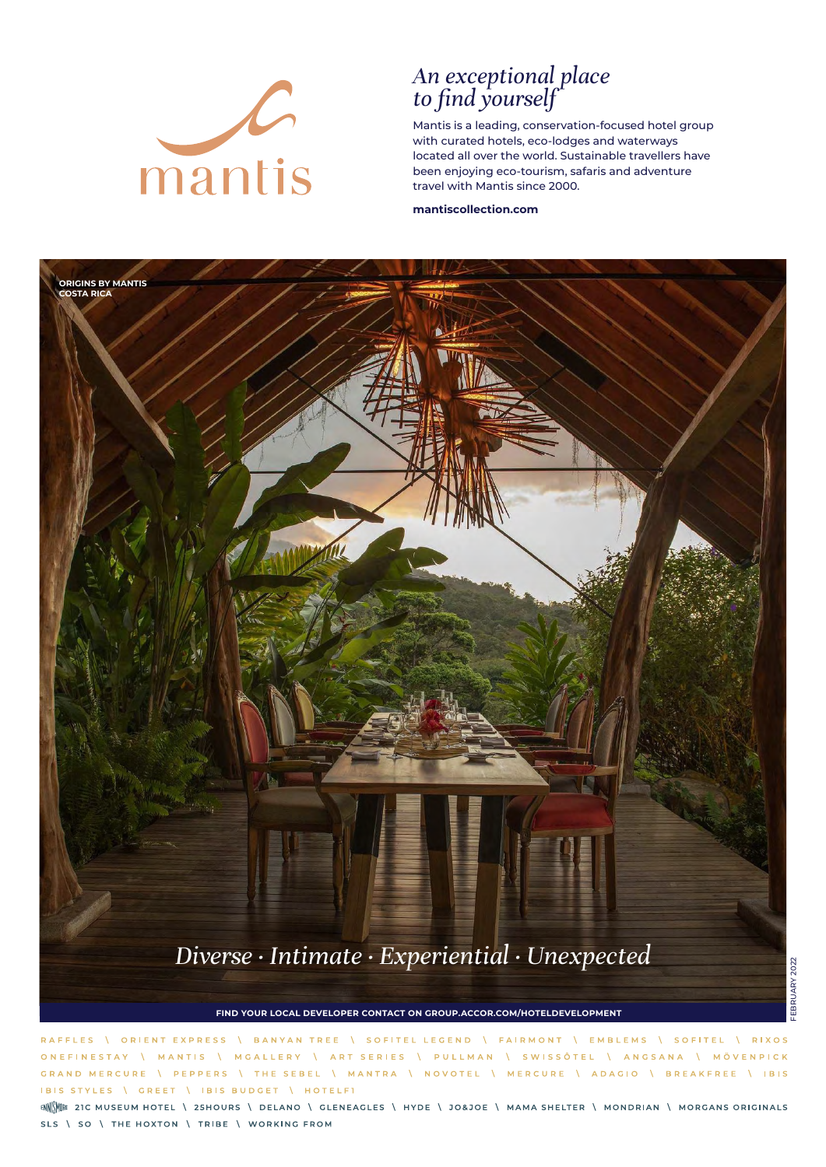

### *An exceptional place to find yourself*

Mantis is a leading, conservation-focused hotel group with curated hotels, eco-lodges and waterways located all over the world. Sustainable travellers have been enjoying eco-tourism, safaris and adventure travel with Mantis since 2000.

**mantiscollection.com**



**FIND YOUR LOCAL DEVELOPER CONTACT ON GROUP.ACCOR.COM/HOTELDEVELOPMENT**

EXPRESS BANYAN TREE \ SOFITEL LEGEND \ FAIRMONT \ EMBLEMS \ SOFITEL  $V$  **RIXOS RAFFIES** ORIENT \ ART SERIES \ PULLMAN \ SWISSÔTEL \ ANGSANA \ MÖVENPICK ONEFINESTAY MGALLERY MANTIS GRAND MERCURE **PEPPERS** THE SEBEL \ MANTRA \ NOVOTEL \ MERCURE \ ADAGIO \ BREAKFREE \ IBIS IBIS STYLES \ GREET | IBIS BUDGET | HOTELFI

ENNINE 21C MUSEUM HOTEL \ 25HOURS \ DELANO \ GLENEAGLES \ HYDE \ JO&JOE \ MAMA SHELTER \ MONDRIAN \ MORGANS ORIGINALS SLS \ SO \ THE HOXTON \ TRIBE \ WORKING FROM